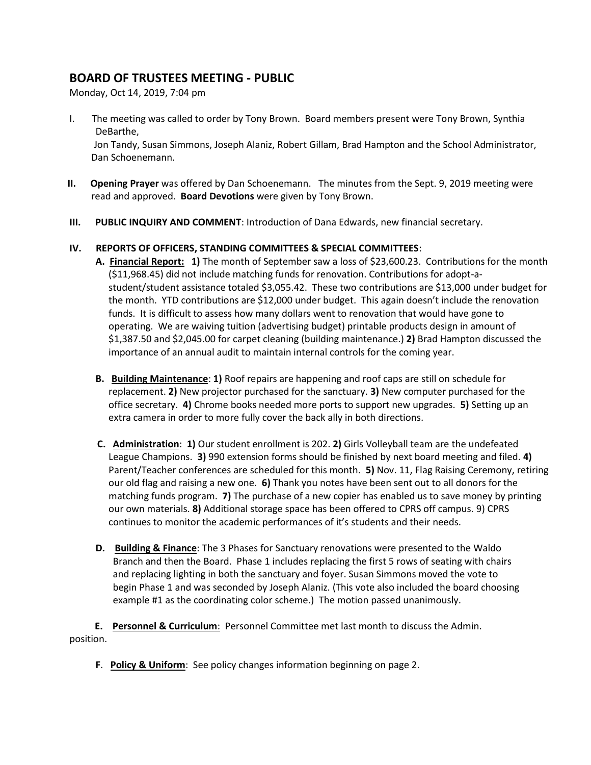# **BOARD OF TRUSTEES MEETING - PUBLIC**

Monday, Oct 14, 2019, 7:04 pm

I. The meeting was called to order by Tony Brown. Board members present were Tony Brown, Synthia DeBarthe,

 Jon Tandy, Susan Simmons, Joseph Alaniz, Robert Gillam, Brad Hampton and the School Administrator, Dan Schoenemann.

- **II. Opening Prayer** was offered by Dan Schoenemann. The minutes from the Sept. 9, 2019 meeting were read and approved. **Board Devotions** were given by Tony Brown.
- **III. PUBLIC INQUIRY AND COMMENT**: Introduction of Dana Edwards, new financial secretary.

# **IV. REPORTS OF OFFICERS, STANDING COMMITTEES & SPECIAL COMMITTEES**:

- **A. Financial Report: 1)** The month of September saw a loss of \$23,600.23. Contributions for the month (\$11,968.45) did not include matching funds for renovation. Contributions for adopt-astudent/student assistance totaled \$3,055.42. These two contributions are \$13,000 under budget for the month. YTD contributions are \$12,000 under budget. This again doesn't include the renovation funds. It is difficult to assess how many dollars went to renovation that would have gone to operating. We are waiving tuition (advertising budget) printable products design in amount of \$1,387.50 and \$2,045.00 for carpet cleaning (building maintenance.) **2)** Brad Hampton discussed the importance of an annual audit to maintain internal controls for the coming year.
- **B. Building Maintenance**: **1)** Roof repairs are happening and roof caps are still on schedule for replacement. **2)** New projector purchased for the sanctuary. **3)** New computer purchased for the office secretary. **4)** Chrome books needed more ports to support new upgrades. **5)** Setting up an extra camera in order to more fully cover the back ally in both directions.
- **C. Administration**: **1)** Our student enrollment is 202. **2)** Girls Volleyball team are the undefeated League Champions. **3)** 990 extension forms should be finished by next board meeting and filed. **4)** Parent/Teacher conferences are scheduled for this month. **5)** Nov. 11, Flag Raising Ceremony, retiring our old flag and raising a new one. **6)** Thank you notes have been sent out to all donors for the matching funds program. **7)** The purchase of a new copier has enabled us to save money by printing our own materials. **8)** Additional storage space has been offered to CPRS off campus. 9) CPRS continues to monitor the academic performances of it's students and their needs.
- **D. Building & Finance**: The 3 Phases for Sanctuary renovations were presented to the Waldo Branch and then the Board. Phase 1 includes replacing the first 5 rows of seating with chairs and replacing lighting in both the sanctuary and foyer. Susan Simmons moved the vote to begin Phase 1 and was seconded by Joseph Alaniz. (This vote also included the board choosing example #1 as the coordinating color scheme.) The motion passed unanimously.

**E. Personnel & Curriculum**: Personnel Committee met last month to discuss the Admin. position.

**F**. **Policy & Uniform**: See policy changes information beginning on page 2.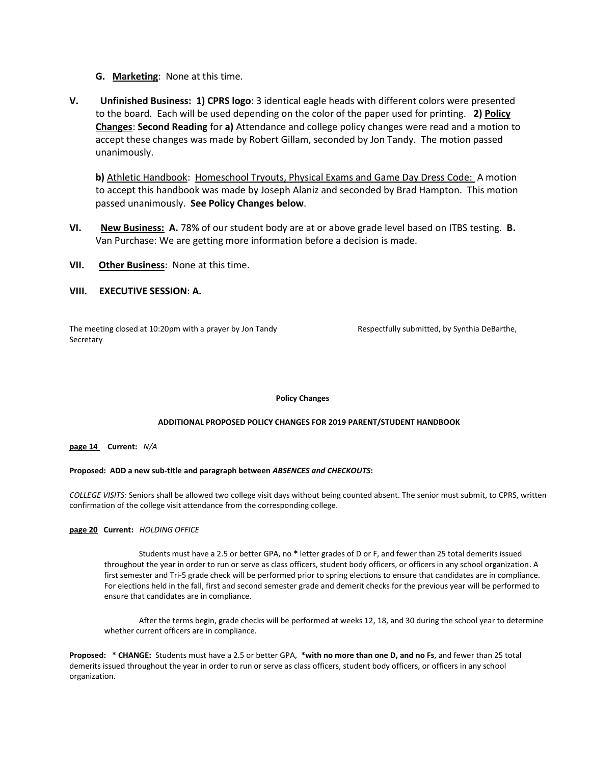- **G. Marketing**: None at this time.
- **V. Unfinished Business: 1) CPRS logo**: 3 identical eagle heads with different colors were presented to the board. Each will be used depending on the color of the paper used for printing. **2) Policy Changes**: **Second Reading** for **a)** Attendance and college policy changes were read and a motion to accept these changes was made by Robert Gillam, seconded by Jon Tandy. The motion passed unanimously.

**b)** Athletic Handbook: Homeschool Tryouts, Physical Exams and Game Day Dress Code: A motion to accept this handbook was made by Joseph Alaniz and seconded by Brad Hampton. This motion passed unanimously. **See Policy Changes below**.

- **VI. New Business: A.** 78% of our student body are at or above grade level based on ITBS testing. **B.** Van Purchase: We are getting more information before a decision is made.
- **VII. Other Business**: None at this time.

# **VIII. EXECUTIVE SESSION**: **A.**

The meeting closed at 10:20pm with a prayer by Jon Tandy Respectfully submitted, by Synthia DeBarthe, **Secretary** 

**Policy Changes**

# **ADDITIONAL PROPOSED POLICY CHANGES FOR 2019 PARENT/STUDENT HANDBOOK**

**page 14 Current:** *N/A*

# **Proposed: ADD a new sub-title and paragraph between** *ABSENCES and CHECKOUTS***:**

*COLLEGE VISITS:* Seniors shall be allowed two college visit days without being counted absent. The senior must submit, to CPRS, written confirmation of the college visit attendance from the corresponding college.

**page 20 Current:** *HOLDING OFFICE*

Students must have a 2.5 or better GPA, no **\*** letter grades of D or F, and fewer than 25 total demerits issued throughout the year in order to run or serve as class officers, student body officers, or officers in any school organization. A first semester and Tri-5 grade check will be performed prior to spring elections to ensure that candidates are in compliance. For elections held in the fall, first and second semester grade and demerit checks for the previous year will be performed to ensure that candidates are in compliance.

After the terms begin, grade checks will be performed at weeks 12, 18, and 30 during the school year to determine whether current officers are in compliance.

**Proposed: \* CHANGE:** Students must have a 2.5 or better GPA, **\*with no more than one D, and no Fs**, and fewer than 25 total demerits issued throughout the year in order to run or serve as class officers, student body officers, or officers in any school organization.